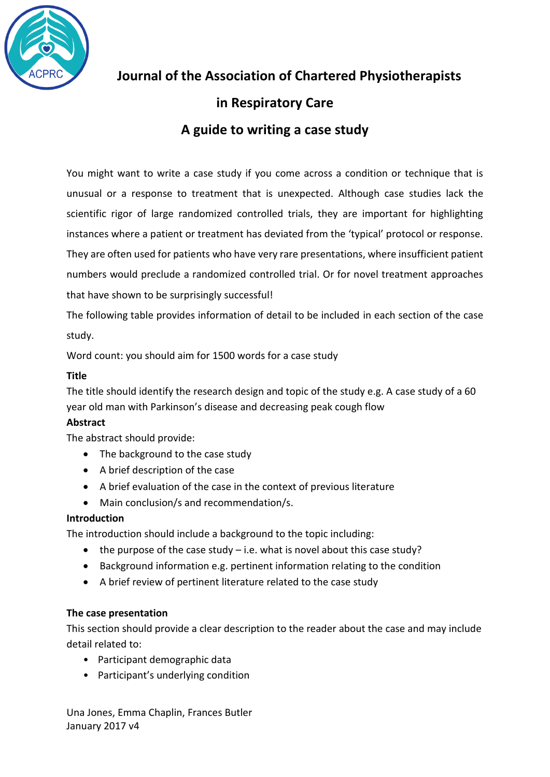

**Journal of the Association of Chartered Physiotherapists** 

# **in Respiratory Care**

# **A guide to writing a case study**

You might want to write a case study if you come across a condition or technique that is unusual or a response to treatment that is unexpected. Although case studies lack the scientific rigor of large randomized controlled trials, they are important for highlighting instances where a patient or treatment has deviated from the 'typical' protocol or response. They are often used for patients who have very rare presentations, where insufficient patient numbers would preclude a randomized controlled trial. Or for novel treatment approaches that have shown to be surprisingly successful!

The following table provides information of detail to be included in each section of the case study.

Word count: you should aim for 1500 words for a case study

# **Title**

The title should identify the research design and topic of the study e.g. A case study of a 60 year old man with Parkinson's disease and decreasing peak cough flow

# **Abstract**

The abstract should provide:

- The background to the case study
- A brief description of the case
- A brief evaluation of the case in the context of previous literature
- Main conclusion/s and recommendation/s.

# **Introduction**

The introduction should include a background to the topic including:

- $\bullet$  the purpose of the case study i.e. what is novel about this case study?
- Background information e.g. pertinent information relating to the condition
- A brief review of pertinent literature related to the case study

# **The case presentation**

This section should provide a clear description to the reader about the case and may include detail related to:

- Participant demographic data
- Participant's underlying condition

Una Jones, Emma Chaplin, Frances Butler January 2017 v4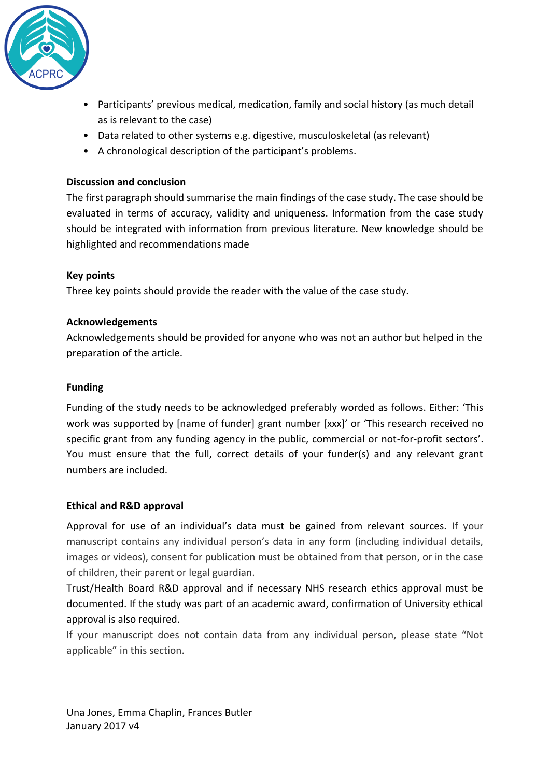

- Participants' previous medical, medication, family and social history (as much detail as is relevant to the case)
- Data related to other systems e.g. digestive, musculoskeletal (as relevant)
- A chronological description of the participant's problems.

### **Discussion and conclusion**

The first paragraph should summarise the main findings of the case study. The case should be evaluated in terms of accuracy, validity and uniqueness. Information from the case study should be integrated with information from previous literature. New knowledge should be highlighted and recommendations made

# **Key points**

Three key points should provide the reader with the value of the case study.

#### **Acknowledgements**

Acknowledgements should be provided for anyone who was not an author but helped in the preparation of the article.

#### **Funding**

Funding of the study needs to be acknowledged preferably worded as follows. Either: 'This work was supported by [name of funder] grant number [xxx]' or 'This research received no specific grant from any funding agency in the public, commercial or not-for-profit sectors'. You must ensure that the full, correct details of your funder(s) and any relevant grant numbers are included.

#### **Ethical and R&D approval**

Approval for use of an individual's data must be gained from relevant sources. If your manuscript contains any individual person's data in any form (including individual details, images or videos), consent for publication must be obtained from that person, or in the case of children, their parent or legal guardian.

Trust/Health Board R&D approval and if necessary NHS research ethics approval must be documented. If the study was part of an academic award, confirmation of University ethical approval is also required.

If your manuscript does not contain data from any individual person, please state "Not applicable" in this section.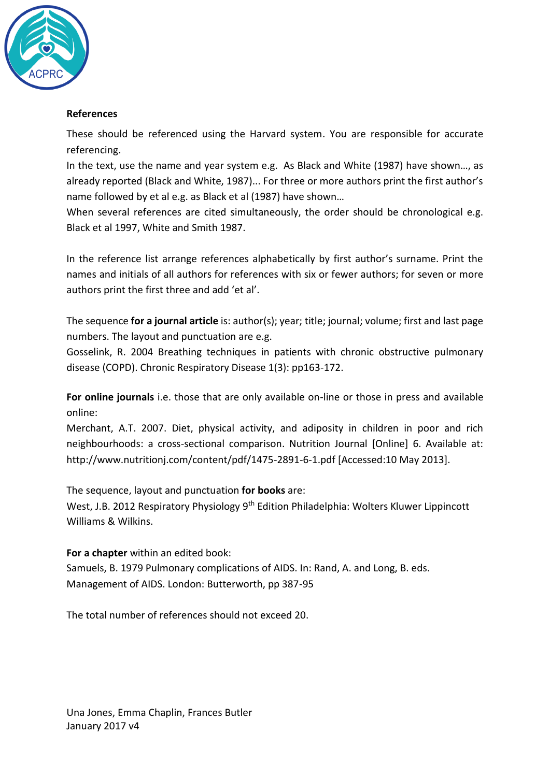

# **References**

These should be referenced using the Harvard system. You are responsible for accurate referencing.

In the text, use the name and year system e.g. As Black and White (1987) have shown…, as already reported (Black and White, 1987)... For three or more authors print the first author's name followed by et al e.g. as Black et al (1987) have shown…

When several references are cited simultaneously, the order should be chronological e.g. Black et al 1997, White and Smith 1987.

In the reference list arrange references alphabetically by first author's surname. Print the names and initials of all authors for references with six or fewer authors; for seven or more authors print the first three and add 'et al'.

The sequence **for a journal article** is: author(s); year; title; journal; volume; first and last page numbers. The layout and punctuation are e.g.

Gosselink, R. 2004 Breathing techniques in patients with chronic obstructive pulmonary disease (COPD). Chronic Respiratory Disease 1(3): pp163-172.

**For online journals** i.e. those that are only available on-line or those in press and available online:

Merchant, A.T. 2007. Diet, physical activity, and adiposity in children in poor and rich neighbourhoods: a cross-sectional comparison. Nutrition Journal [Online] 6. Available at: http://www.nutritionj.com/content/pdf/1475-2891-6-1.pdf [Accessed:10 May 2013].

The sequence, layout and punctuation **for books** are:

West, J.B. 2012 Respiratory Physiology 9<sup>th</sup> Edition Philadelphia: Wolters Kluwer Lippincott Williams & Wilkins.

**For a chapter** within an edited book: Samuels, B. 1979 Pulmonary complications of AIDS. In: Rand, A. and Long, B. eds. Management of AIDS. London: Butterworth, pp 387-95

The total number of references should not exceed 20.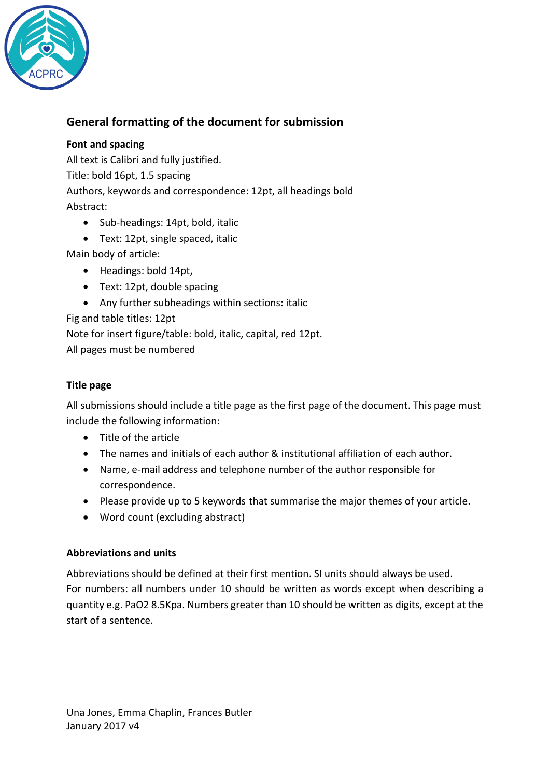

# **General formatting of the document for submission**

# **Font and spacing**

All text is Calibri and fully justified.

Title: bold 16pt, 1.5 spacing

Authors, keywords and correspondence: 12pt, all headings bold

Abstract:

- Sub-headings: 14pt, bold, italic
- Text: 12pt, single spaced, italic

Main body of article:

- Headings: bold 14pt,
- Text: 12pt, double spacing
- Any further subheadings within sections: italic

Fig and table titles: 12pt

Note for insert figure/table: bold, italic, capital, red 12pt. All pages must be numbered

# **Title page**

All submissions should include a title page as the first page of the document. This page must include the following information:

- Title of the article
- The names and initials of each author & institutional affiliation of each author.
- Name, e-mail address and telephone number of the author responsible for correspondence.
- Please provide up to 5 keywords that summarise the major themes of your article.
- Word count (excluding abstract)

# **Abbreviations and units**

Abbreviations should be defined at their first mention. SI units should always be used. For numbers: all numbers under 10 should be written as words except when describing a quantity e.g. PaO2 8.5Kpa. Numbers greater than 10 should be written as digits, except at the start of a sentence.